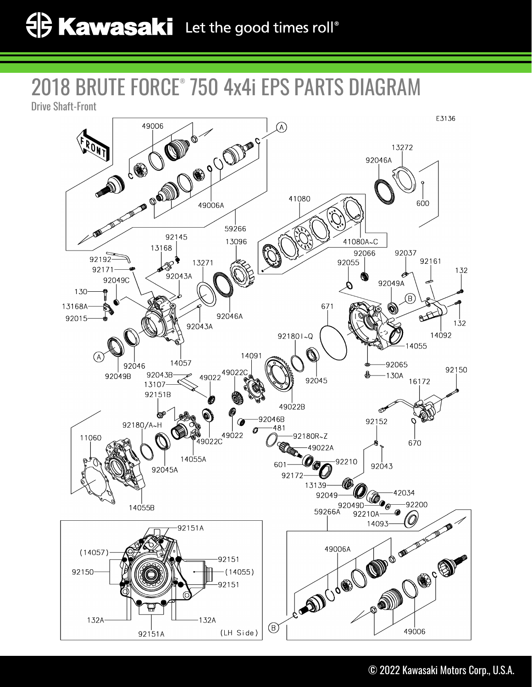# 2018 BRUTE FORCE® 750 4x4i EPS PARTS DIAGRAM



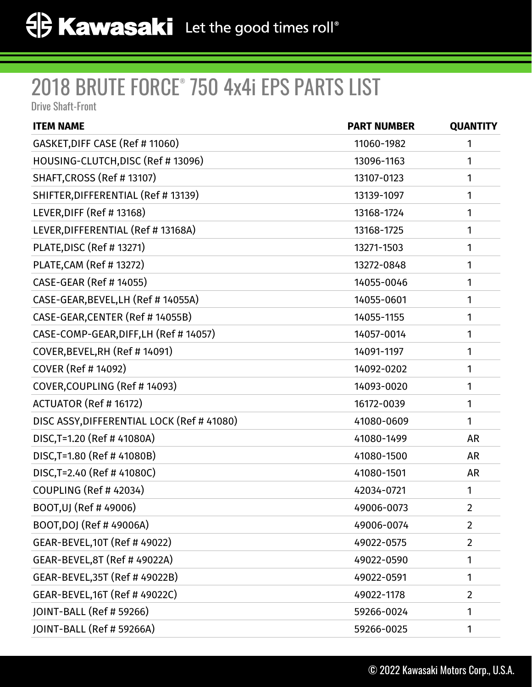| <b>ITEM NAME</b>                           | <b>PART NUMBER</b> | <b>QUANTITY</b> |
|--------------------------------------------|--------------------|-----------------|
| GASKET, DIFF CASE (Ref # 11060)            | 11060-1982         | 1               |
| HOUSING-CLUTCH, DISC (Ref # 13096)         | 13096-1163         | 1               |
| SHAFT, CROSS (Ref # 13107)                 | 13107-0123         | 1               |
| SHIFTER, DIFFERENTIAL (Ref # 13139)        | 13139-1097         | 1               |
| LEVER, DIFF (Ref # 13168)                  | 13168-1724         | 1               |
| LEVER, DIFFERENTIAL (Ref # 13168A)         | 13168-1725         | 1               |
| PLATE, DISC (Ref # 13271)                  | 13271-1503         | 1               |
| <b>PLATE, CAM (Ref #13272)</b>             | 13272-0848         | 1               |
| <b>CASE-GEAR (Ref #14055)</b>              | 14055-0046         | 1               |
| CASE-GEAR, BEVEL, LH (Ref # 14055A)        | 14055-0601         | 1               |
| CASE-GEAR, CENTER (Ref #14055B)            | 14055-1155         | 1               |
| CASE-COMP-GEAR, DIFF, LH (Ref # 14057)     | 14057-0014         | 1               |
| COVER, BEVEL, RH (Ref #14091)              | 14091-1197         | 1               |
| <b>COVER (Ref #14092)</b>                  | 14092-0202         | 1               |
| COVER, COUPLING (Ref #14093)               | 14093-0020         | 1               |
| ACTUATOR (Ref # 16172)                     | 16172-0039         | 1               |
| DISC ASSY, DIFFERENTIAL LOCK (Ref # 41080) | 41080-0609         | 1               |
| DISC, T=1.20 (Ref # 41080A)                | 41080-1499         | <b>AR</b>       |
| DISC, T=1.80 (Ref # 41080B)                | 41080-1500         | <b>AR</b>       |
| DISC, T=2.40 (Ref #41080C)                 | 41080-1501         | AR              |
| COUPLING (Ref #42034)                      | 42034-0721         | 1               |
| BOOT, UJ (Ref #49006)                      | 49006-0073         | $\overline{2}$  |
| BOOT, DOJ (Ref # 49006A)                   | 49006-0074         | $\overline{2}$  |
| GEAR-BEVEL, 10T (Ref # 49022)              | 49022-0575         | $\overline{2}$  |
| GEAR-BEVEL, 8T (Ref # 49022A)              | 49022-0590         | 1               |
| GEAR-BEVEL, 35T (Ref # 49022B)             | 49022-0591         | 1               |
| GEAR-BEVEL, 16T (Ref # 49022C)             | 49022-1178         | $\overline{2}$  |
| JOINT-BALL (Ref # 59266)                   | 59266-0024         | 1               |
| JOINT-BALL (Ref # 59266A)                  | 59266-0025         | 1               |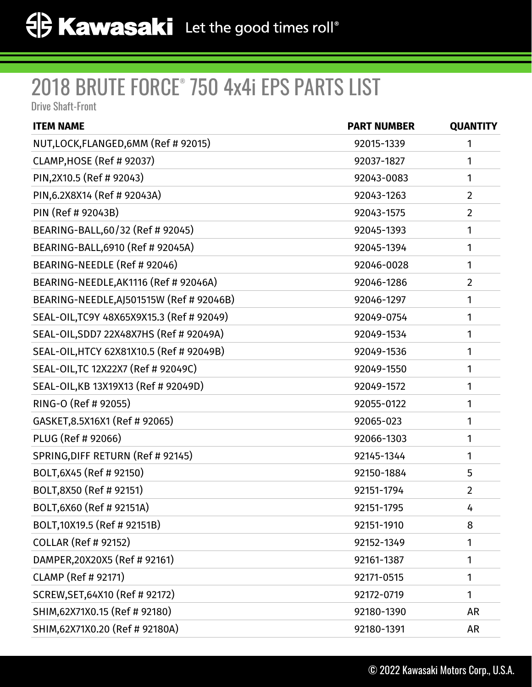| <b>ITEM NAME</b>                          | <b>PART NUMBER</b> | <b>QUANTITY</b> |
|-------------------------------------------|--------------------|-----------------|
| NUT, LOCK, FLANGED, 6MM (Ref # 92015)     | 92015-1339         | 1               |
| CLAMP, HOSE (Ref # 92037)                 | 92037-1827         | 1               |
| PIN, 2X10.5 (Ref # 92043)                 | 92043-0083         | 1               |
| PIN, 6.2X8X14 (Ref # 92043A)              | 92043-1263         | $\overline{2}$  |
| PIN (Ref # 92043B)                        | 92043-1575         | $\overline{2}$  |
| BEARING-BALL, 60/32 (Ref # 92045)         | 92045-1393         | 1               |
| BEARING-BALL, 6910 (Ref # 92045A)         | 92045-1394         | 1               |
| BEARING-NEEDLE (Ref # 92046)              | 92046-0028         | 1               |
| BEARING-NEEDLE, AK1116 (Ref # 92046A)     | 92046-1286         | $\overline{2}$  |
| BEARING-NEEDLE, AJ501515W (Ref # 92046B)  | 92046-1297         | 1               |
| SEAL-OIL, TC9Y 48X65X9X15.3 (Ref # 92049) | 92049-0754         | 1               |
| SEAL-OIL, SDD7 22X48X7HS (Ref # 92049A)   | 92049-1534         | 1               |
| SEAL-OIL, HTCY 62X81X10.5 (Ref # 92049B)  | 92049-1536         | 1               |
| SEAL-OIL, TC 12X22X7 (Ref # 92049C)       | 92049-1550         | 1               |
| SEAL-OIL, KB 13X19X13 (Ref # 92049D)      | 92049-1572         | 1               |
| RING-O (Ref # 92055)                      | 92055-0122         | 1               |
| GASKET, 8.5X16X1 (Ref # 92065)            | 92065-023          | 1               |
| PLUG (Ref # 92066)                        | 92066-1303         | 1               |
| SPRING, DIFF RETURN (Ref # 92145)         | 92145-1344         | 1               |
| BOLT, 6X45 (Ref # 92150)                  | 92150-1884         | 5               |
| BOLT,8X50 (Ref # 92151)                   | 92151-1794         | $\overline{2}$  |
| BOLT, 6X60 (Ref # 92151A)                 | 92151-1795         | 4               |
| BOLT, 10X19.5 (Ref # 92151B)              | 92151-1910         | 8               |
| <b>COLLAR (Ref # 92152)</b>               | 92152-1349         | 1               |
| DAMPER, 20X20X5 (Ref # 92161)             | 92161-1387         | 1               |
| <b>CLAMP (Ref # 92171)</b>                | 92171-0515         | 1               |
| SCREW, SET, 64X10 (Ref # 92172)           | 92172-0719         | 1               |
| SHIM, 62X71X0.15 (Ref # 92180)            | 92180-1390         | <b>AR</b>       |
| SHIM, 62X71X0.20 (Ref # 92180A)           | 92180-1391         | AR              |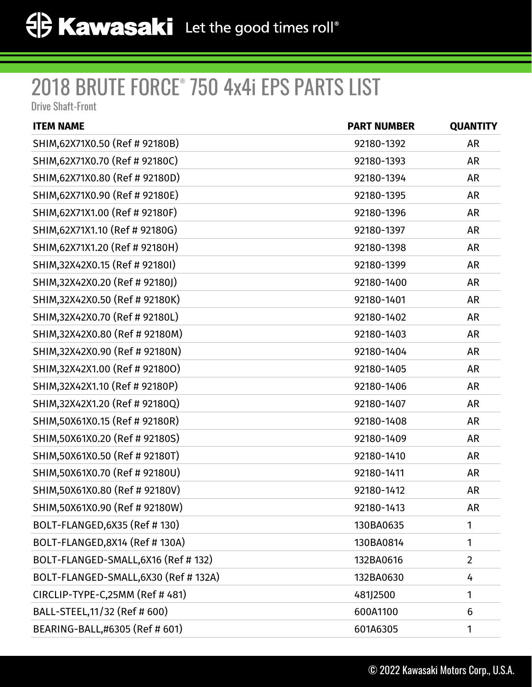| <b>ITEM NAME</b>                      | <b>PART NUMBER</b> | <b>QUANTITY</b> |
|---------------------------------------|--------------------|-----------------|
| SHIM, 62X71X0.50 (Ref # 92180B)       | 92180-1392         | <b>AR</b>       |
| SHIM, 62X71X0.70 (Ref # 92180C)       | 92180-1393         | <b>AR</b>       |
| SHIM, 62X71X0.80 (Ref # 92180D)       | 92180-1394         | <b>AR</b>       |
| SHIM, 62X71X0.90 (Ref # 92180E)       | 92180-1395         | <b>AR</b>       |
| SHIM, 62X71X1.00 (Ref # 92180F)       | 92180-1396         | <b>AR</b>       |
| SHIM, 62X71X1.10 (Ref # 92180G)       | 92180-1397         | <b>AR</b>       |
| SHIM, 62X71X1.20 (Ref # 92180H)       | 92180-1398         | <b>AR</b>       |
| SHIM, 32X42X0.15 (Ref # 921801)       | 92180-1399         | <b>AR</b>       |
| SHIM, 32X42X0.20 (Ref # 92180J)       | 92180-1400         | <b>AR</b>       |
| SHIM, 32X42X0.50 (Ref # 92180K)       | 92180-1401         | <b>AR</b>       |
| SHIM, 32X42X0.70 (Ref # 92180L)       | 92180-1402         | <b>AR</b>       |
| SHIM, 32X42X0.80 (Ref # 92180M)       | 92180-1403         | <b>AR</b>       |
| SHIM, 32X42X0.90 (Ref # 92180N)       | 92180-1404         | <b>AR</b>       |
| SHIM, 32X42X1.00 (Ref # 921800)       | 92180-1405         | <b>AR</b>       |
| SHIM, 32X42X1.10 (Ref # 92180P)       | 92180-1406         | <b>AR</b>       |
| SHIM, 32X42X1.20 (Ref # 92180Q)       | 92180-1407         | <b>AR</b>       |
| SHIM, 50X61X0.15 (Ref # 92180R)       | 92180-1408         | <b>AR</b>       |
| SHIM, 50X61X0.20 (Ref # 92180S)       | 92180-1409         | <b>AR</b>       |
| SHIM, 50X61X0.50 (Ref # 92180T)       | 92180-1410         | <b>AR</b>       |
| SHIM, 50X61X0.70 (Ref # 92180U)       | 92180-1411         | <b>AR</b>       |
| SHIM, 50X61X0.80 (Ref # 92180V)       | 92180-1412         | AR              |
| SHIM,50X61X0.90 (Ref # 92180W)        | 92180-1413         | <b>AR</b>       |
| BOLT-FLANGED, 6X35 (Ref # 130)        | 130BA0635          | 1               |
| BOLT-FLANGED, 8X14 (Ref # 130A)       | 130BA0814          | 1               |
| BOLT-FLANGED-SMALL, 6X16 (Ref # 132)  | 132BA0616          | $\overline{2}$  |
| BOLT-FLANGED-SMALL, 6X30 (Ref # 132A) | 132BA0630          | 4               |
| CIRCLIP-TYPE-C,25MM (Ref # 481)       | 481J2500           | 1               |
| BALL-STEEL, 11/32 (Ref # 600)         | 600A1100           | 6               |
| BEARING-BALL,#6305 (Ref # 601)        | 601A6305           | 1               |